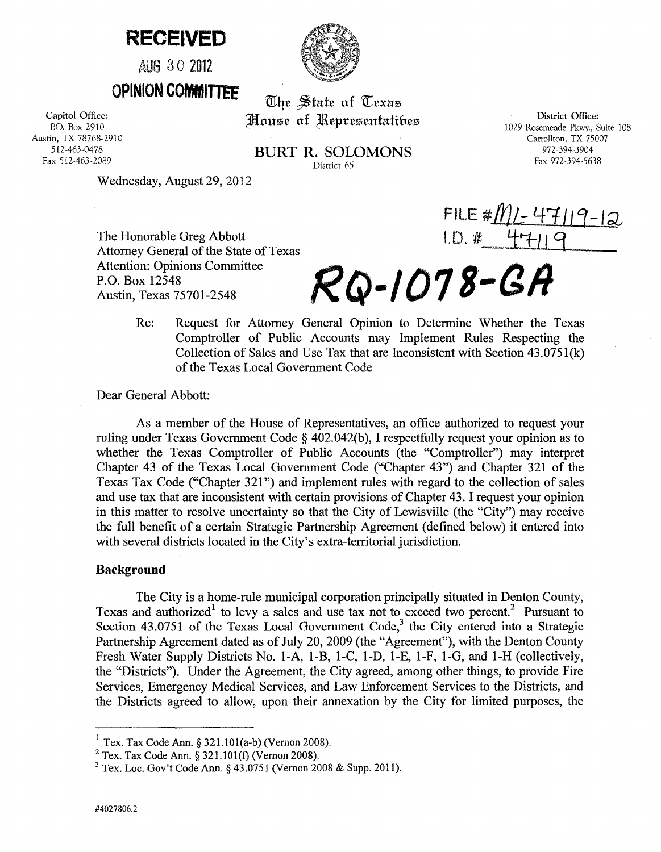# **RECEIVED**

AUG 30 2012

**OPINION COMMITTEE** 

Capitol Office: P.O. Box 2910 Austin, TX 78768-2910 512-463-0478 Fax 512-463-2089

The State of Texas House of Representatibes

BURT R. SOLOMONS District 65

District Office: 1029 Rosemeade Pkwy., Suite 108 Carrollton, TX 75007 972-394-3904 Fax 972-394-5638

 $FILE #/M/- 4'$ <br> $ID # 47-11$ 

Wednesday, August 29,2012

The Honorable Greg Abbott Attorney General of the State of Texas Attention: Opinions Committee P.O. Box 12548<br>Austin, Texas 75701-2548

> Re: Request for Attorney General Opinion to Determine Whether the Texas Comptroller of Public Accounts may Implement Rules Respecting the Collection of Sales and Use Tax that are Inconsistent with Section 43.0751(k) of the Texas Local Government Code

Austin, Texas 75701-2548 **RQ-I01** *a-Gil* 

Dear General Abbott:

As a member of the House of Representatives, an office authorized to request your ruling under Texas Government Code § 402.042(b), I respectfully request your opinion as to whether the Texas Comptroller of Public Accounts (the "Comptroller") may interpret Chapter 43 of the Texas Local Government Code ("Chapter 43") and Chapter 321 of the Texas Tax Code ("Chapter 321") and implement rules with regard to the collection of sales and use tax that are inconsistent with certain provisions of Chapter 43. I request your opinion in this matter to resolve uncertainty so that the City of Lewisville (the "City") may receive the full benefit of a certain Strategic Partnership Agreement (defined below) it entered into with several districts located in the City's extra-territorial jurisdiction.

### Background

The City is a home-rule municipal corporation principally situated in Denton County, Texas and authorized<sup>1</sup> to levy a sales and use tax not to exceed two percent.<sup>2</sup> Pursuant to Section  $43.0751$  of the Texas Local Government Code,<sup>3</sup> the City entered into a Strategic Partnership Agreement dated as of July 20, 2009 (the "Agreement"), with the Denton County Fresh Water Supply Districts No. I-A, 1-B, 1-C, 1-D, I-E, 1-F, I-G, and 1-H (collectively, the "Districts"). Under the Agreement, the City agreed, among other things, to provide Fire Services, Emergency Medical Services, and Law Enforcement Services to the Districts, and the Districts agreed to allow, upon their annexation by the City for limited purposes, the

 $<sup>1</sup>$  Tex. Tax Code Ann. § 321.101(a-b) (Vernon 2008).</sup>

 $2$  Tex. Tax Code Ann. § 321.101(f) (Vernon 2008).

<sup>3</sup> Tex. Loc. Gov't Code Ann. § 43.0751 (Vernon 2008 & Supp. 2011).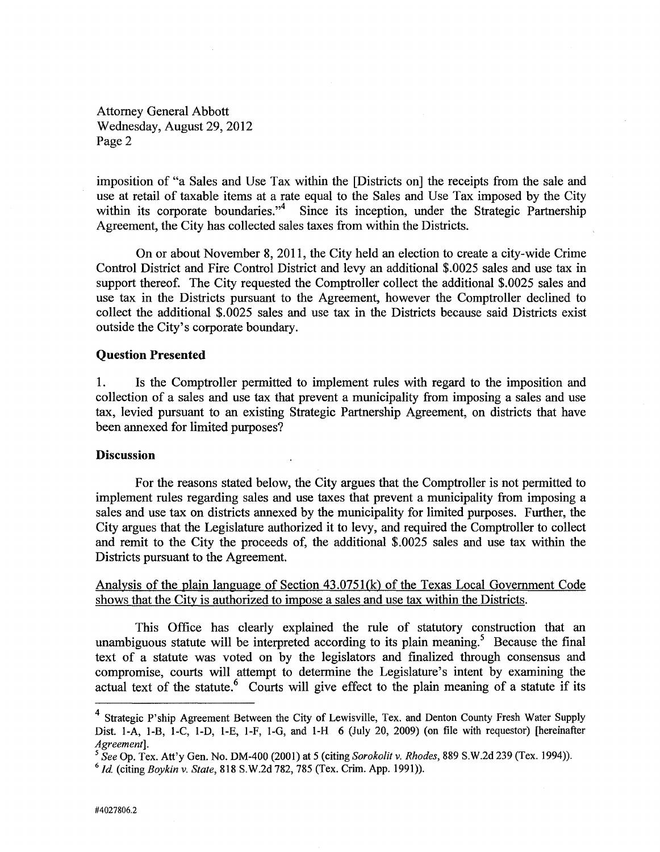Attorney General Abbott Wednesday, August 29,2012 Page 2

imposition of "a Sales and Use Tax within the [Districts on] the receipts from the sale and use at retail of taxable items at a rate equal to the Sales and Use Tax imposed by the City within its corporate boundaries."<sup>4</sup> Since its inception, under the Strategic Partnership Agreement, the City has collected sales taxes from within the Districts.

On or about November 8, 2011, the City held an election to create a city-wide Crime Control District and Fire Control District and levy an additional \$.0025 sales and use tax in support thereof. The City requested the Comptroller collect the additional \$.0025 sales and use tax in the Districts pursuant to the Agreement, however the Comptroller declined to collect the additional \$.0025 sales and use tax in the Districts because said Districts exist outside the City's corporate boundary.

### **Question Presented**

1. Is the Comptroller permitted to implement rules with regard to the imposition and collection of a sales and use tax that prevent a municipality from imposing a sales and use tax, levied pursuant to an existing Strategic Partnership Agreement, on districts that have been annexed for limited purposes?

## **Discussion**

For the reasons stated below, the City argues that the Comptroller is not permitted to implement rules regarding sales and use taxes that prevent a municipality from imposing a sales and use tax on districts annexed by the municipality for limited purposes. Further, the City argues that the Legislature authorized it to levy, and required the Comptroller to collect and remit to the City the proceeds of, the additional \$.0025 sales and use tax within the Districts pursuant to the Agreement.

Analysis of the plain language of Section 43.0751(k) of the Texas Local Government Code shows that the City is authorized to impose a sales and use tax within the Districts.

This Office has clearly explained the rule of statutory construction that an unambiguous statute will be interpreted according to its plain meaning.<sup>5</sup> Because the final text of a statute was voted on by the legislators and finalized through consensus and compromise, courts will attempt to determine the Legislature's intent by examining the actual text of the statute.<sup>6</sup> Courts will give effect to the plain meaning of a statute if its

<sup>4</sup> Strategic P'ship Agreement Between the City of Lewisville, Tex. and Denton County Fresh Water Supply Dist. I-A, I-B, l-C, I-D, l-E, I-F, I-G, and I-H 6 (July 20, 2009) (on file with requestor) [hereinafter *Agreement].* 

*<sup>5</sup> See* Op. Tex. Att'y Gen. No. DM-400 (2001) at 5 (citing *Sorokolit* v. *Rhodes,* 889 S.W.2d 239 (Tex. 1994)).

*<sup>6</sup> Id* (citing *Boykin* v. *State,* 818 S.W.2d 782, 785 (Tex. Crim. App. 1991)).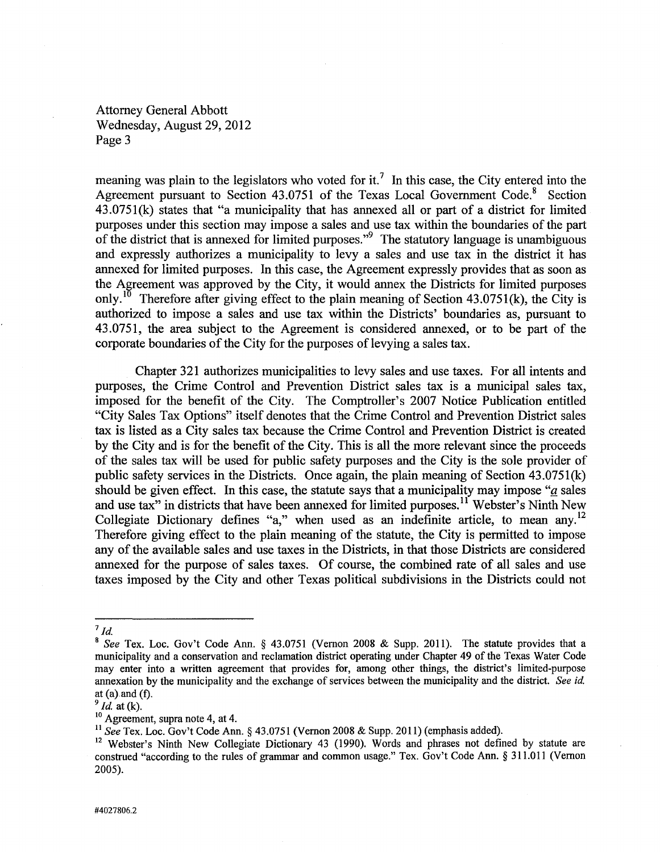Attorney General Abbott Wednesday, August 29,2012 Page 3

meaning was plain to the legislators who voted for it.<sup>7</sup> In this case, the City entered into the Agreement pursuant to Section  $43.0751$  of the Texas Local Government Code.<sup>8</sup> Section 43.0751(k) states that "a municipality that has annexed all or part of a district for limited purposes under this section may impose a sales and use tax within the boundaries of the part of the district that is annexed for limited purposes."<sup>9</sup> The statutory language is unambiguous and expressly authorizes a municipality to levy a sales and use tax in the district it has annexed for limited purposes. In this case, the Agreement expressly provides that as soon as the Agreement was approved by the City, it would annex the Districts for limited purposes only.<sup>10</sup> Therefore after giving effect to the plain meaning of Section 43.0751(k), the City is authorized to impose a sales and use tax within the Districts' boundaries as, pursuant to 43.0751, the area subject to the Agreement is considered annexed, or to be part of the corporate boundaries of the City for the purposes of levying a sales tax.

Chapter 321 authorizes municipalities to levy sales and use taxes. For all intents and purposes, the Crime Control and Prevention District sales tax is a municipal sales tax, imposed for the benefit of the City. The Comptroller's 2007 Notice Publication entitled "City Sales Tax Options" itself denotes that the Crime Control and Prevention District sales tax is listed as a City sales tax because the Crime Control and Prevention District is created by the City and is for the benefit of the City. This is all the more relevant since the proceeds of the sales tax will be used for public safety purposes and the City is the sole provider of public safety services in the Districts. Once again, the plain meaning of Section 43.0751(k) should be given effect. In this case, the statute says that a municipality may impose " $a$  sales and use tax" in districts that have been annexed for limited purposes.<sup>11</sup> Webster's Ninth New Collegiate Dictionary defines "a," when used as an indefinite article, to mean any.<sup>12</sup> Therefore giving effect to the plain meaning of the statute, the City is permitted to impose any of the available sales and use taxes in the Districts, in that those Districts are considered annexed for the purpose of sales taxes. Of course, the combined rate of all sales and use taxes imposed by the City and other Texas political subdivisions in the Districts could not

 $^7$  Id.

<sup>8</sup>*See* Tex. Loc. Gov't Code Ann. § 43.0751 (Vernon 2008 & Supp. 2011). The statute provides that a municipality and a conservation and reclamation district operating under Chapter 49 of the Texas Water Code may enter into a written agreement that provides for, among other things, the district's limited-purpose annexation by the municipality and the exchange of services between the municipality and the district. *See id*  at  $(a)$  and  $(f)$ .

*<sup>9</sup> Id* at (k).

<sup>&</sup>lt;sup>10</sup> Agreement, supra note 4, at 4.

<sup>11</sup>*See* Tex. Loc. Gov't Code Ann. § 43.0751 (Vernon 2008 & Supp. 2011) (emphasis added).

<sup>&</sup>lt;sup>12</sup> Webster's Ninth New Collegiate Dictionary 43 (1990). Words and phrases not defined by statute are construed "according to the rules of grammar and common usage." Tex. Gov't Code Ann. § 311.011 (Vernon 2005).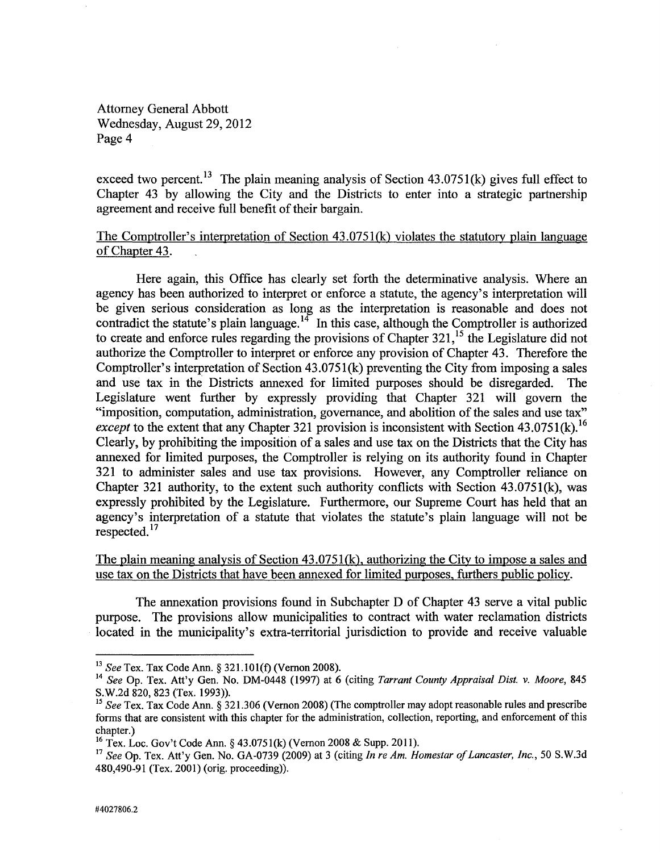Attorney General Abbott Wednesday, August 29,2012 Page 4

exceed two percent.<sup>13</sup> The plain meaning analysis of Section  $43.0751(k)$  gives full effect to Chapter 43 by allowing the City and the Districts to enter into a strategic partnership agreement and receive full benefit of their bargain.

## The Comptroller's interpretation of Section 43.0751(k) violates the statutory plain language of Chapter 43.

Here again, this Office has clearly set forth the determinative analysis. Where an agency has been authorized to interpret or enforce a statute, the agency's interpretation will be given serious consideration as long as the interpretation is reasonable and does not contradict the statute's plain language.<sup>14</sup> In this case, although the Comptroller is authorized to create and enforce rules regarding the provisions of Chapter 321.<sup>15</sup> the Legislature did not authorize the Comptroller to interpret or enforce any provision of Chapter 43. Therefore the Comptroller's interpretation of Section 43.0751(k) preventing the City from imposing a sales and use tax in the Districts annexed for limited purposes should be disregarded. The Legislature went further by expressly providing that Chapter 321 will govern the "imposition, computation, administration, governance, and abolition of the sales and use tax" *except* to the extent that any Chapter 321 provision is inconsistent with Section 43.0751(k).<sup>16</sup> Clearly, by prohibiting the imposition of a sales and use tax on the Districts that the City has annexed for limited purposes, the Comptroller is relying on its authority found in Chapter 321 to administer sales and use tax provisions. However, any Comptroller reliance on Chapter 321 authority, to the extent such authority conflicts with Section 43.0751(k), was expressly prohibited by the Legislature. Furthermore, our Supreme Court has held that an agency's interpretation of a statute that violates the statute's plain language will not be respected.<sup>17</sup>

The plain meaning analysis of Section 43.0751(k), authorizing the City to impose a sales and use tax on the Districts that have been annexed for limited purposes, furthers public policy.

The annexation provisions found in Subchapter D of Chapter 43 serve a vital public purpose. The provisions allow municipalities to contract with water reclamation districts located in the municipality's extra-territorial jurisdiction to provide and receive valuable

*<sup>13</sup> See* Tex. Tax Code Ann. § 32 1.10 1(f) (Vernon 2008).

<sup>14</sup>*See* Op. Tex. Att'y Gen. No. DM-0448 (1997) at 6 (citing *Tarrant County Appraisal Dist.* v. *Moore, 845*  S.W.2d 820, 823 (Tex. 1993)).

*<sup>15</sup> See* Tex. Tax Code Ann. § 321.306 (Vernon 2008) (The comptroller may adopt reasonable rules and prescribe forms that are consistent with this chapter for the administration, collection, reporting, and enforcement of this chapter.)

<sup>&</sup>lt;sup>16</sup> Tex. Loc. Gov't Code Ann. § 43.0751(k) (Vernon 2008 & Supp. 2011).

<sup>17</sup>*See* Op. Tex. Att'y Gen. No. GA-0739 (2009) at 3 (citing *In re Am. Homestar of Lancaster, Inc.,* 50 S.W.3d 480,490-91 (Tex. 2001) (orig. proceeding)).